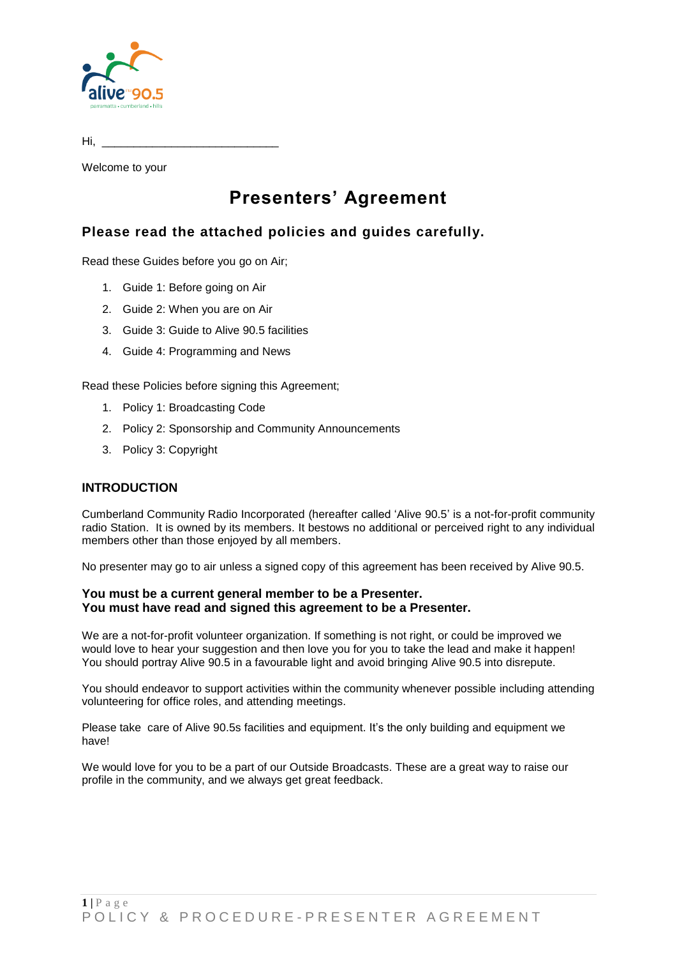

| Hi, |  |
|-----|--|
|     |  |

Welcome to your

# **Presenters' Agreement**

### **Please read the attached policies and guides carefully.**

Read these Guides before you go on Air;

- 1. Guide 1: Before going on Air
- 2. Guide 2: When you are on Air
- 3. Guide 3: Guide to Alive 90.5 facilities
- 4. Guide 4: Programming and News

Read these Policies before signing this Agreement;

- 1. Policy 1: Broadcasting Code
- 2. Policy 2: Sponsorship and Community Announcements
- 3. Policy 3: Copyright

### **INTRODUCTION**

Cumberland Community Radio Incorporated (hereafter called 'Alive 90.5' is a not-for-profit community radio Station. It is owned by its members. It bestows no additional or perceived right to any individual members other than those enjoyed by all members.

No presenter may go to air unless a signed copy of this agreement has been received by Alive 90.5.

### **You must be a current general member to be a Presenter. You must have read and signed this agreement to be a Presenter.**

We are a not-for-profit volunteer organization. If something is not right, or could be improved we would love to hear your suggestion and then love you for you to take the lead and make it happen! You should portray Alive 90.5 in a favourable light and avoid bringing Alive 90.5 into disrepute.

You should endeavor to support activities within the community whenever possible including attending volunteering for office roles, and attending meetings.

Please take care of Alive 90.5s facilities and equipment. It's the only building and equipment we have!

We would love for you to be a part of our Outside Broadcasts. These are a great way to raise our profile in the community, and we always get great feedback.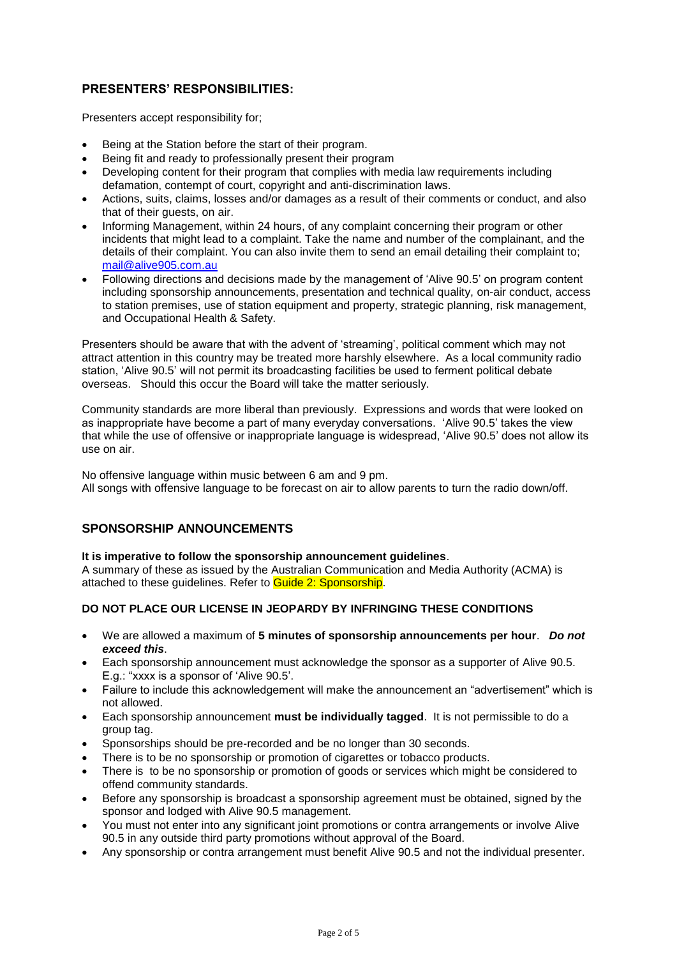### **PRESENTERS' RESPONSIBILITIES:**

Presenters accept responsibility for;

- Being at the Station before the start of their program.
- Being fit and ready to professionally present their program
- Developing content for their program that complies with media law requirements including defamation, contempt of court, copyright and anti-discrimination laws.
- Actions, suits, claims, losses and/or damages as a result of their comments or conduct, and also that of their guests, on air.
- Informing Management, within 24 hours, of any complaint concerning their program or other incidents that might lead to a complaint. Take the name and number of the complainant, and the details of their complaint. You can also invite them to send an email detailing their complaint to; [mail@alive905.com.au](mailto:mail@alive905.com.au)
- Following directions and decisions made by the management of 'Alive 90.5' on program content including sponsorship announcements, presentation and technical quality, on-air conduct, access to station premises, use of station equipment and property, strategic planning, risk management, and Occupational Health & Safety.

Presenters should be aware that with the advent of 'streaming', political comment which may not attract attention in this country may be treated more harshly elsewhere. As a local community radio station, 'Alive 90.5' will not permit its broadcasting facilities be used to ferment political debate overseas. Should this occur the Board will take the matter seriously.

Community standards are more liberal than previously. Expressions and words that were looked on as inappropriate have become a part of many everyday conversations. 'Alive 90.5' takes the view that while the use of offensive or inappropriate language is widespread, 'Alive 90.5' does not allow its use on air.

No offensive language within music between 6 am and 9 pm. All songs with offensive language to be forecast on air to allow parents to turn the radio down/off.

### **SPONSORSHIP ANNOUNCEMENTS**

#### **It is imperative to follow the sponsorship announcement guidelines**.

A summary of these as issued by the Australian Communication and Media Authority (ACMA) is attached to these guidelines. Refer to **Guide 2: Sponsorship.** 

### **DO NOT PLACE OUR LICENSE IN JEOPARDY BY INFRINGING THESE CONDITIONS**

- We are allowed a maximum of **5 minutes of sponsorship announcements per hour**. *Do not exceed this*.
- Each sponsorship announcement must acknowledge the sponsor as a supporter of Alive 90.5. E.g.: "xxxx is a sponsor of 'Alive 90.5'.
- Failure to include this acknowledgement will make the announcement an "advertisement" which is not allowed.
- Each sponsorship announcement **must be individually tagged**. It is not permissible to do a group tag.
- Sponsorships should be pre-recorded and be no longer than 30 seconds.
- There is to be no sponsorship or promotion of cigarettes or tobacco products.
- There is to be no sponsorship or promotion of goods or services which might be considered to offend community standards.
- Before any sponsorship is broadcast a sponsorship agreement must be obtained, signed by the sponsor and lodged with Alive 90.5 management.
- You must not enter into any significant joint promotions or contra arrangements or involve Alive 90.5 in any outside third party promotions without approval of the Board.
- Any sponsorship or contra arrangement must benefit Alive 90.5 and not the individual presenter.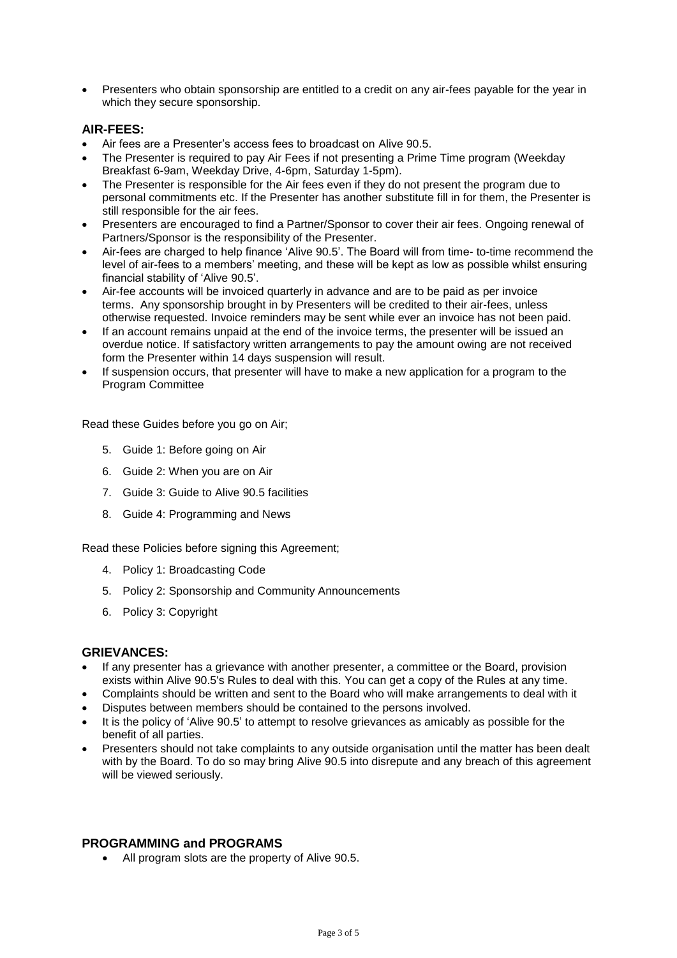• Presenters who obtain sponsorship are entitled to a credit on any air-fees payable for the year in which they secure sponsorship.

### **AIR-FEES:**

- Air fees are a Presenter's access fees to broadcast on Alive 90.5.
- The Presenter is required to pay Air Fees if not presenting a Prime Time program (Weekday Breakfast 6-9am, Weekday Drive, 4-6pm, Saturday 1-5pm).
- The Presenter is responsible for the Air fees even if they do not present the program due to personal commitments etc. If the Presenter has another substitute fill in for them, the Presenter is still responsible for the air fees.
- Presenters are encouraged to find a Partner/Sponsor to cover their air fees. Ongoing renewal of Partners/Sponsor is the responsibility of the Presenter.
- Air-fees are charged to help finance 'Alive 90.5'. The Board will from time- to-time recommend the level of air-fees to a members' meeting, and these will be kept as low as possible whilst ensuring financial stability of 'Alive 90.5'.
- Air-fee accounts will be invoiced quarterly in advance and are to be paid as per invoice terms. Any sponsorship brought in by Presenters will be credited to their air-fees, unless otherwise requested. Invoice reminders may be sent while ever an invoice has not been paid.
- If an account remains unpaid at the end of the invoice terms, the presenter will be issued an overdue notice. If satisfactory written arrangements to pay the amount owing are not received form the Presenter within 14 days suspension will result.
- If suspension occurs, that presenter will have to make a new application for a program to the Program Committee

Read these Guides before you go on Air;

- 5. Guide 1: Before going on Air
- 6. Guide 2: When you are on Air
- 7. Guide 3: Guide to Alive 90.5 facilities
- 8. Guide 4: Programming and News

Read these Policies before signing this Agreement;

- 4. Policy 1: Broadcasting Code
- 5. Policy 2: Sponsorship and Community Announcements
- 6. Policy 3: Copyright

### **GRIEVANCES:**

- If any presenter has a grievance with another presenter, a committee or the Board, provision exists within Alive 90.5's Rules to deal with this. You can get a copy of the Rules at any time.
- Complaints should be written and sent to the Board who will make arrangements to deal with it
- Disputes between members should be contained to the persons involved.
- It is the policy of 'Alive 90.5' to attempt to resolve grievances as amicably as possible for the benefit of all parties.
- Presenters should not take complaints to any outside organisation until the matter has been dealt with by the Board. To do so may bring Alive 90.5 into disrepute and any breach of this agreement will be viewed seriously.

### **PROGRAMMING and PROGRAMS**

• All program slots are the property of Alive 90.5.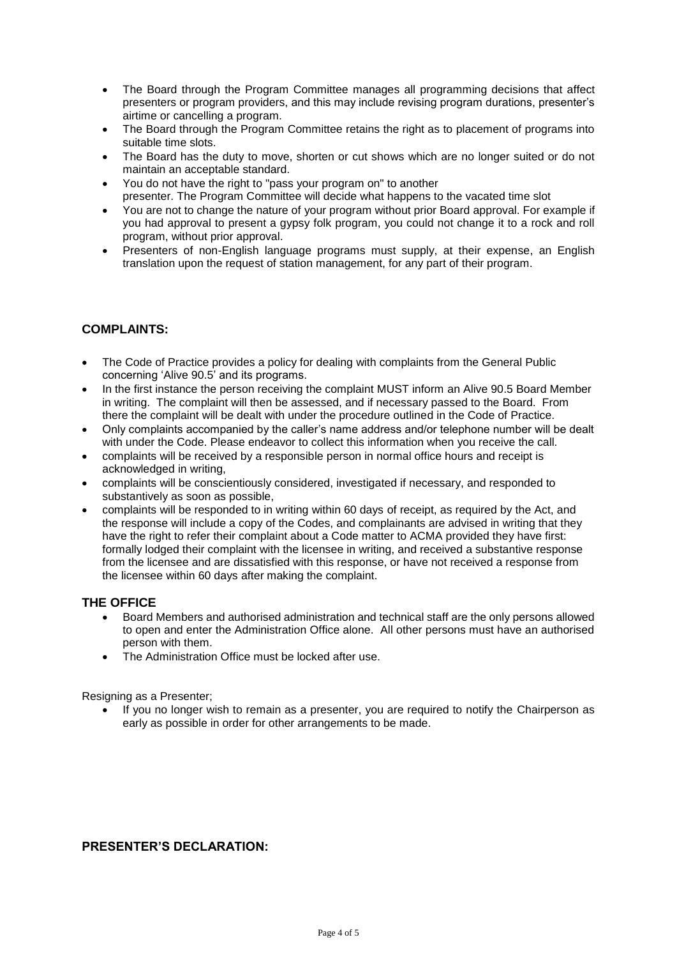- The Board through the Program Committee manages all programming decisions that affect presenters or program providers, and this may include revising program durations, presenter's airtime or cancelling a program.
- The Board through the Program Committee retains the right as to placement of programs into suitable time slots.
- The Board has the duty to move, shorten or cut shows which are no longer suited or do not maintain an acceptable standard.
- You do not have the right to "pass your program on" to another presenter. The Program Committee will decide what happens to the vacated time slot
- You are not to change the nature of your program without prior Board approval. For example if you had approval to present a gypsy folk program, you could not change it to a rock and roll program, without prior approval.
- Presenters of non-English language programs must supply, at their expense, an English translation upon the request of station management, for any part of their program.

### **COMPLAINTS:**

- The Code of Practice provides a policy for dealing with complaints from the General Public concerning 'Alive 90.5' and its programs.
- In the first instance the person receiving the complaint MUST inform an Alive 90.5 Board Member in writing. The complaint will then be assessed, and if necessary passed to the Board. From there the complaint will be dealt with under the procedure outlined in the Code of Practice.
- Only complaints accompanied by the caller's name address and/or telephone number will be dealt with under the Code. Please endeavor to collect this information when you receive the call.
- complaints will be received by a responsible person in normal office hours and receipt is acknowledged in writing,
- complaints will be conscientiously considered, investigated if necessary, and responded to substantively as soon as possible,
- complaints will be responded to in writing within 60 days of receipt, as required by the Act, and the response will include a copy of the Codes, and complainants are advised in writing that they have the right to refer their complaint about a Code matter to ACMA provided they have first: formally lodged their complaint with the licensee in writing, and received a substantive response from the licensee and are dissatisfied with this response, or have not received a response from the licensee within 60 days after making the complaint.

### **THE OFFICE**

- Board Members and authorised administration and technical staff are the only persons allowed to open and enter the Administration Office alone. All other persons must have an authorised person with them.
- The Administration Office must be locked after use.

Resigning as a Presenter;

• If you no longer wish to remain as a presenter, you are required to notify the Chairperson as early as possible in order for other arrangements to be made.

### **PRESENTER'S DECLARATION:**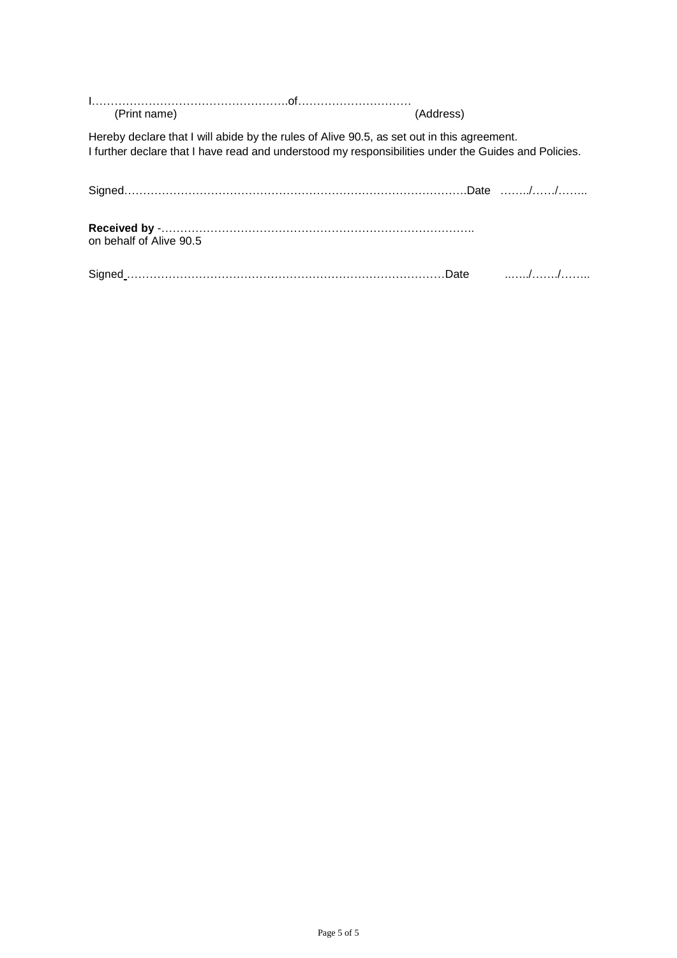| (Print name)            | (Address)                                                                                                                                                                                          |  |
|-------------------------|----------------------------------------------------------------------------------------------------------------------------------------------------------------------------------------------------|--|
|                         | Hereby declare that I will abide by the rules of Alive 90.5, as set out in this agreement.<br>I further declare that I have read and understood my responsibilities under the Guides and Policies. |  |
|                         |                                                                                                                                                                                                    |  |
| on behalf of Alive 90.5 |                                                                                                                                                                                                    |  |
|                         |                                                                                                                                                                                                    |  |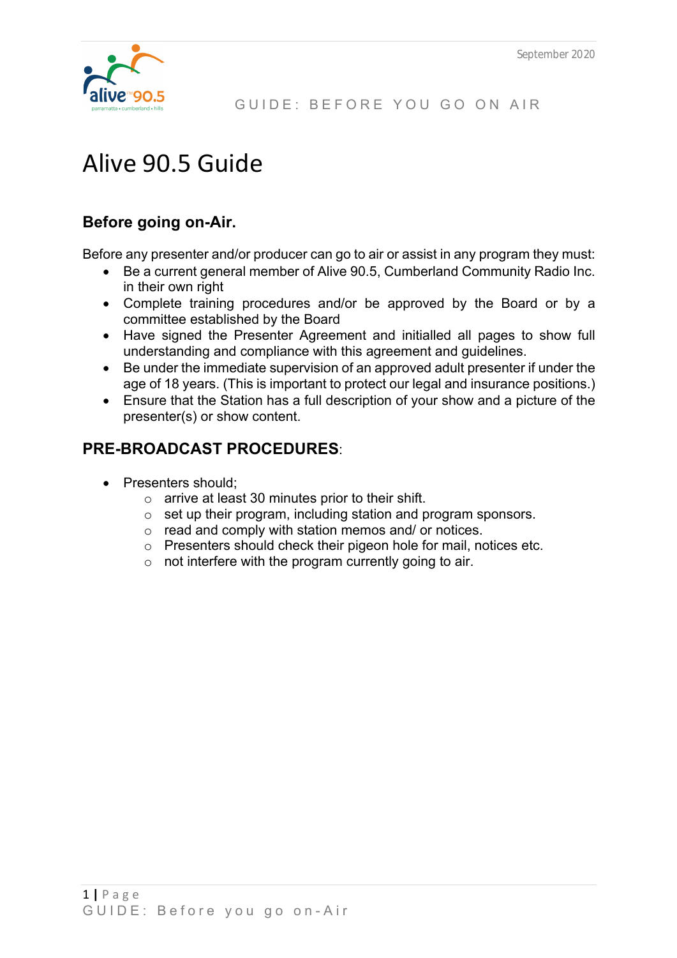

# Alive 90.5 Guide

# **Before going on-Air.**

Before any presenter and/or producer can go to air or assist in any program they must:

- Be a current general member of Alive 90.5, Cumberland Community Radio Inc. in their own right
- Complete training procedures and/or be approved by the Board or by a committee established by the Board
- Have signed the Presenter Agreement and initialled all pages to show full understanding and compliance with this agreement and guidelines.
- Be under the immediate supervision of an approved adult presenter if under the age of 18 years. (This is important to protect our legal and insurance positions.)
- Ensure that the Station has a full description of your show and a picture of the presenter(s) or show content.

# **PRE-BROADCAST PROCEDURES**:

- Presenters should;
	- o arrive at least 30 minutes prior to their shift.
	- o set up their program, including station and program sponsors.
	- o read and comply with station memos and/ or notices.
	- o Presenters should check their pigeon hole for mail, notices etc.
	- o not interfere with the program currently going to air.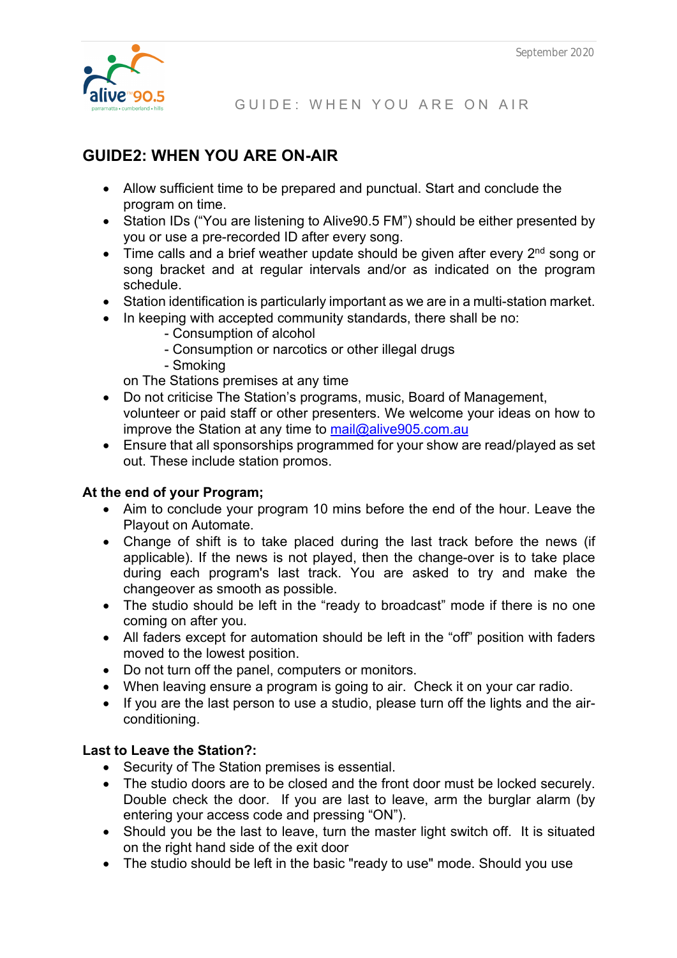

GUIDE: WHEN YOU ARE ON AIR

# **GUIDE2: WHEN YOU ARE ON-AIR**

- Allow sufficient time to be prepared and punctual. Start and conclude the program on time.
- Station IDs ("You are listening to Alive 90.5 FM") should be either presented by you or use a pre-recorded ID after every song.
- Time calls and a brief weather update should be given after every  $2<sup>nd</sup>$  song or song bracket and at regular intervals and/or as indicated on the program schedule.
- Station identification is particularly important as we are in a multi-station market.
- In keeping with accepted community standards, there shall be no:
	- Consumption of alcohol
	- Consumption or narcotics or other illegal drugs
	- Smoking

on The Stations premises at any time

- Do not criticise The Station's programs, music, Board of Management, volunteer or paid staff or other presenters. We welcome your ideas on how to improve the Station at any time to mail@alive905.com.au
- Ensure that all sponsorships programmed for your show are read/played as set out. These include station promos.

### **At the end of your Program;**

- Aim to conclude your program 10 mins before the end of the hour. Leave the Playout on Automate.
- Change of shift is to take placed during the last track before the news (if applicable). If the news is not played, then the change-over is to take place during each program's last track. You are asked to try and make the changeover as smooth as possible.
- The studio should be left in the "ready to broadcast" mode if there is no one coming on after you.
- All faders except for automation should be left in the "off" position with faders moved to the lowest position.
- Do not turn off the panel, computers or monitors.
- When leaving ensure a program is going to air. Check it on your car radio.
- If you are the last person to use a studio, please turn off the lights and the airconditioning.

### **Last to Leave the Station?:**

- Security of The Station premises is essential.
- The studio doors are to be closed and the front door must be locked securely. Double check the door. If you are last to leave, arm the burglar alarm (by entering your access code and pressing "ON").
- Should you be the last to leave, turn the master light switch off. It is situated on the right hand side of the exit door
- The studio should be left in the basic "ready to use" mode. Should you use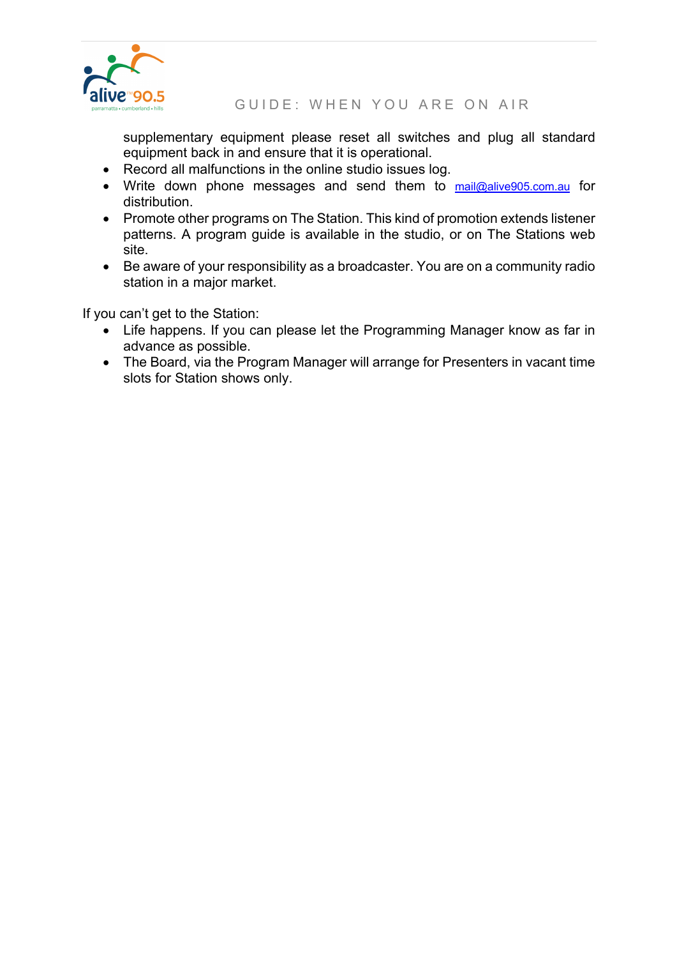

**IIVC™90.5**<br>ranata-sumberland-hills GUIDE: WHEN YOU ARE ON AIR

supplementary equipment please reset all switches and plug all standard equipment back in and ensure that it is operational.

- Record all malfunctions in the online studio issues log.
- Write down phone messages and send them to mail@alive905.com.au for distribution.
- Promote other programs on The Station. This kind of promotion extends listener patterns. A program guide is available in the studio, or on The Stations web site.
- Be aware of your responsibility as a broadcaster. You are on a community radio station in a major market.

If you can't get to the Station:

- Life happens. If you can please let the Programming Manager know as far in advance as possible.
- The Board, via the Program Manager will arrange for Presenters in vacant time slots for Station shows only.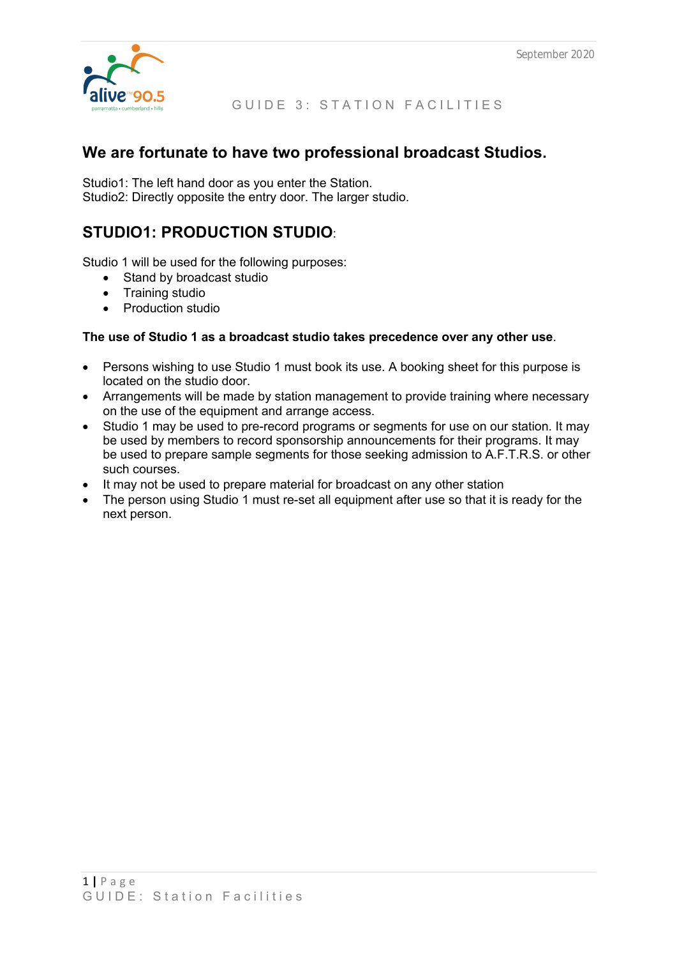

### GUIDE 3: STATION FACILITIES

### **We are fortunate to have two professional broadcast Studios.**

Studio1: The left hand door as you enter the Station. Studio2: Directly opposite the entry door. The larger studio.

# **STUDIO1: PRODUCTION STUDIO**:

Studio 1 will be used for the following purposes:

- Stand by broadcast studio
- Training studio
- Production studio

### **The use of Studio 1 as a broadcast studio takes precedence over any other use**.

- Persons wishing to use Studio 1 must book its use. A booking sheet for this purpose is located on the studio door.
- Arrangements will be made by station management to provide training where necessary on the use of the equipment and arrange access.
- Studio 1 may be used to pre-record programs or segments for use on our station. It may be used by members to record sponsorship announcements for their programs. It may be used to prepare sample segments for those seeking admission to A.F.T.R.S. or other such courses.
- It may not be used to prepare material for broadcast on any other station
- The person using Studio 1 must re-set all equipment after use so that it is ready for the next person.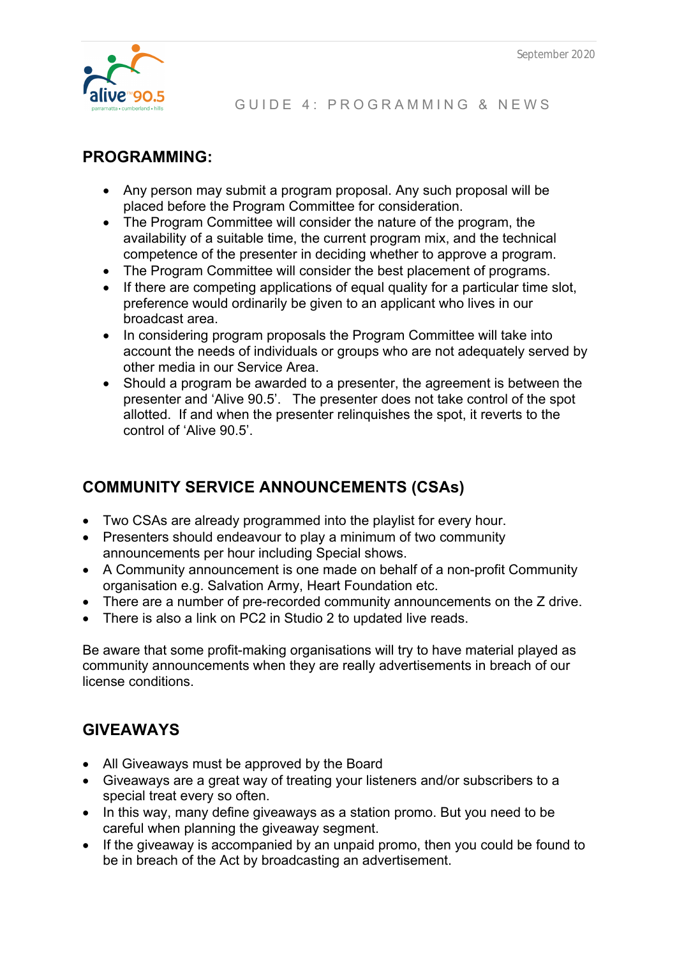

# **PROGRAMMING:**

- Any person may submit a program proposal. Any such proposal will be placed before the Program Committee for consideration.
- The Program Committee will consider the nature of the program, the availability of a suitable time, the current program mix, and the technical competence of the presenter in deciding whether to approve a program.
- The Program Committee will consider the best placement of programs.
- If there are competing applications of equal quality for a particular time slot, preference would ordinarily be given to an applicant who lives in our broadcast area.
- In considering program proposals the Program Committee will take into account the needs of individuals or groups who are not adequately served by other media in our Service Area.
- Should a program be awarded to a presenter, the agreement is between the presenter and 'Alive 90.5'. The presenter does not take control of the spot allotted. If and when the presenter relinquishes the spot, it reverts to the control of 'Alive 90.5'.

# **COMMUNITY SERVICE ANNOUNCEMENTS (CSAs)**

- Two CSAs are already programmed into the playlist for every hour.
- Presenters should endeavour to play a minimum of two community announcements per hour including Special shows.
- A Community announcement is one made on behalf of a non-profit Community organisation e.g. Salvation Army, Heart Foundation etc.
- There are a number of pre-recorded community announcements on the Z drive.
- There is also a link on PC2 in Studio 2 to updated live reads.

Be aware that some profit-making organisations will try to have material played as community announcements when they are really advertisements in breach of our license conditions.

# **GIVEAWAYS**

- All Giveaways must be approved by the Board
- Giveaways are a great way of treating your listeners and/or subscribers to a special treat every so often.
- In this way, many define giveaways as a station promo. But you need to be careful when planning the giveaway segment.
- If the giveaway is accompanied by an unpaid promo, then you could be found to be in breach of the Act by broadcasting an advertisement.